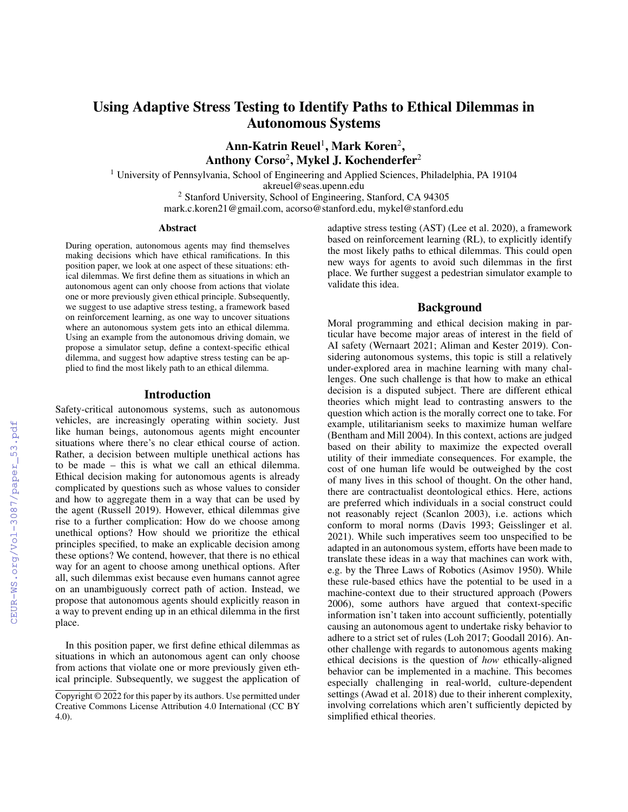# Using Adaptive Stress Testing to Identify Paths to Ethical Dilemmas in Autonomous Systems

 $\rm Ann\hbox{-}Katrin\; Reuel^1, Mark\; Koren^2,$ Anthony Corso<sup>2</sup>, Mykel J. Kochenderfer<sup>2</sup>

<sup>1</sup> University of Pennsylvania, School of Engineering and Applied Sciences, Philadelphia, PA 19104

akreuel@seas.upenn.edu

<sup>2</sup> Stanford University, School of Engineering, Stanford, CA 94305 mark.c.koren21@gmail.com, acorso@stanford.edu, mykel@stanford.edu

#### Abstract

During operation, autonomous agents may find themselves making decisions which have ethical ramifications. In this position paper, we look at one aspect of these situations: ethical dilemmas. We first define them as situations in which an autonomous agent can only choose from actions that violate one or more previously given ethical principle. Subsequently, we suggest to use adaptive stress testing, a framework based on reinforcement learning, as one way to uncover situations where an autonomous system gets into an ethical dilemma. Using an example from the autonomous driving domain, we propose a simulator setup, define a context-specific ethical dilemma, and suggest how adaptive stress testing can be applied to find the most likely path to an ethical dilemma.

### Introduction

Safety-critical autonomous systems, such as autonomous vehicles, are increasingly operating within society. Just like human beings, autonomous agents might encounter situations where there's no clear ethical course of action. Rather, a decision between multiple unethical actions has to be made – this is what we call an ethical dilemma. Ethical decision making for autonomous agents is already complicated by questions such as whose values to consider and how to aggregate them in a way that can be used by the agent (Russell 2019). However, ethical dilemmas give rise to a further complication: How do we choose among unethical options? How should we prioritize the ethical principles specified, to make an explicable decision among these options? We contend, however, that there is no ethical way for an agent to choose among unethical options. After all, such dilemmas exist because even humans cannot agree on an unambiguously correct path of action. Instead, we propose that autonomous agents should explicitly reason in a way to prevent ending up in an ethical dilemma in the first place.

In this position paper, we first define ethical dilemmas as situations in which an autonomous agent can only choose from actions that violate one or more previously given ethical principle. Subsequently, we suggest the application of adaptive stress testing (AST) (Lee et al. 2020), a framework based on reinforcement learning (RL), to explicitly identify the most likely paths to ethical dilemmas. This could open new ways for agents to avoid such dilemmas in the first place. We further suggest a pedestrian simulator example to validate this idea.

## Background

Moral programming and ethical decision making in particular have become major areas of interest in the field of AI safety (Wernaart 2021; Aliman and Kester 2019). Considering autonomous systems, this topic is still a relatively under-explored area in machine learning with many challenges. One such challenge is that how to make an ethical decision is a disputed subject. There are different ethical theories which might lead to contrasting answers to the question which action is the morally correct one to take. For example, utilitarianism seeks to maximize human welfare (Bentham and Mill 2004). In this context, actions are judged based on their ability to maximize the expected overall utility of their immediate consequences. For example, the cost of one human life would be outweighed by the cost of many lives in this school of thought. On the other hand, there are contractualist deontological ethics. Here, actions are preferred which individuals in a social construct could not reasonably reject (Scanlon 2003), i.e. actions which conform to moral norms (Davis 1993; Geisslinger et al. 2021). While such imperatives seem too unspecified to be adapted in an autonomous system, efforts have been made to translate these ideas in a way that machines can work with, e.g. by the Three Laws of Robotics (Asimov 1950). While these rule-based ethics have the potential to be used in a machine-context due to their structured approach (Powers 2006), some authors have argued that context-specific information isn't taken into account sufficiently, potentially causing an autonomous agent to undertake risky behavior to adhere to a strict set of rules (Loh 2017; Goodall 2016). Another challenge with regards to autonomous agents making ethical decisions is the question of *how* ethically-aligned behavior can be implemented in a machine. This becomes especially challenging in real-world, culture-dependent settings (Awad et al. 2018) due to their inherent complexity, involving correlations which aren't sufficiently depicted by simplified ethical theories.

Copyright  $\odot$  2022 for this paper by its authors. Use permitted under Creative Commons License Attribution 4.0 International (CC BY 4.0).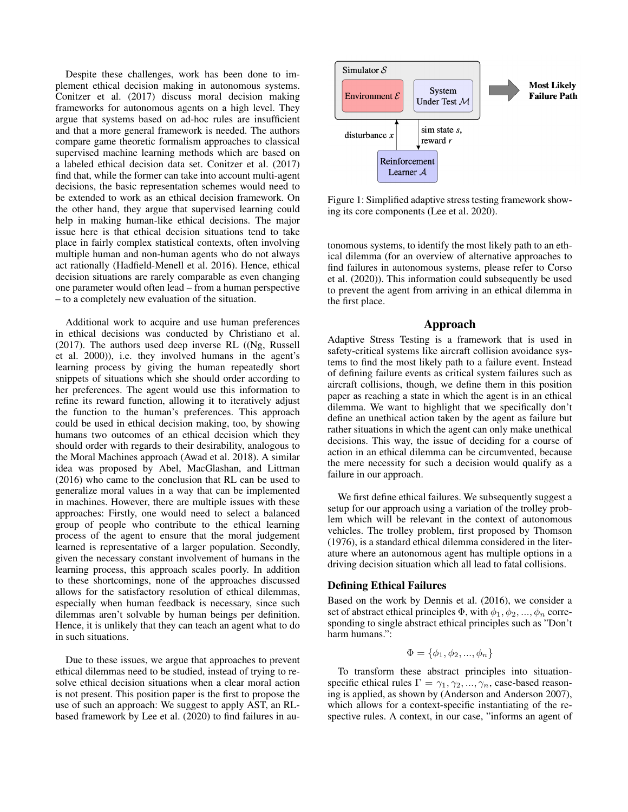Despite these challenges, work has been done to implement ethical decision making in autonomous systems. Conitzer et al. (2017) discuss moral decision making frameworks for autonomous agents on a high level. They argue that systems based on ad-hoc rules are insufficient and that a more general framework is needed. The authors compare game theoretic formalism approaches to classical supervised machine learning methods which are based on a labeled ethical decision data set. Conitzer et al. (2017) find that, while the former can take into account multi-agent decisions, the basic representation schemes would need to be extended to work as an ethical decision framework. On the other hand, they argue that supervised learning could help in making human-like ethical decisions. The major issue here is that ethical decision situations tend to take place in fairly complex statistical contexts, often involving multiple human and non-human agents who do not always act rationally (Hadfield-Menell et al. 2016). Hence, ethical decision situations are rarely comparable as even changing one parameter would often lead – from a human perspective – to a completely new evaluation of the situation.

Additional work to acquire and use human preferences in ethical decisions was conducted by Christiano et al. (2017). The authors used deep inverse RL ((Ng, Russell et al. 2000)), i.e. they involved humans in the agent's learning process by giving the human repeatedly short snippets of situations which she should order according to her preferences. The agent would use this information to refine its reward function, allowing it to iteratively adjust the function to the human's preferences. This approach could be used in ethical decision making, too, by showing humans two outcomes of an ethical decision which they should order with regards to their desirability, analogous to the Moral Machines approach (Awad et al. 2018). A similar idea was proposed by Abel, MacGlashan, and Littman (2016) who came to the conclusion that RL can be used to generalize moral values in a way that can be implemented in machines. However, there are multiple issues with these approaches: Firstly, one would need to select a balanced group of people who contribute to the ethical learning process of the agent to ensure that the moral judgement learned is representative of a larger population. Secondly, given the necessary constant involvement of humans in the learning process, this approach scales poorly. In addition to these shortcomings, none of the approaches discussed allows for the satisfactory resolution of ethical dilemmas, especially when human feedback is necessary, since such dilemmas aren't solvable by human beings per definition. Hence, it is unlikely that they can teach an agent what to do in such situations.

Due to these issues, we argue that approaches to prevent ethical dilemmas need to be studied, instead of trying to resolve ethical decision situations when a clear moral action is not present. This position paper is the first to propose the use of such an approach: We suggest to apply AST, an RLbased framework by Lee et al. (2020) to find failures in au-



Figure 1: Simplified adaptive stress testing framework showing its core components (Lee et al. 2020).

tonomous systems, to identify the most likely path to an ethical dilemma (for an overview of alternative approaches to find failures in autonomous systems, please refer to Corso et al. (2020)). This information could subsequently be used to prevent the agent from arriving in an ethical dilemma in the first place.

#### Approach

Adaptive Stress Testing is a framework that is used in safety-critical systems like aircraft collision avoidance systems to find the most likely path to a failure event. Instead of defining failure events as critical system failures such as aircraft collisions, though, we define them in this position paper as reaching a state in which the agent is in an ethical dilemma. We want to highlight that we specifically don't define an unethical action taken by the agent as failure but rather situations in which the agent can only make unethical decisions. This way, the issue of deciding for a course of action in an ethical dilemma can be circumvented, because the mere necessity for such a decision would qualify as a failure in our approach.

We first define ethical failures. We subsequently suggest a setup for our approach using a variation of the trolley problem which will be relevant in the context of autonomous vehicles. The trolley problem, first proposed by Thomson (1976), is a standard ethical dilemma considered in the literature where an autonomous agent has multiple options in a driving decision situation which all lead to fatal collisions.

#### Defining Ethical Failures

Based on the work by Dennis et al. (2016), we consider a set of abstract ethical principles  $\Phi$ , with  $\phi_1, \phi_2, ..., \phi_n$  corresponding to single abstract ethical principles such as "Don't harm humans.":

$$
\Phi = \{\phi_1, \phi_2, ..., \phi_n\}
$$

To transform these abstract principles into situationspecific ethical rules  $\Gamma = \gamma_1, \gamma_2, ..., \gamma_n$ , case-based reasoning is applied, as shown by (Anderson and Anderson 2007), which allows for a context-specific instantiating of the respective rules. A context, in our case, "informs an agent of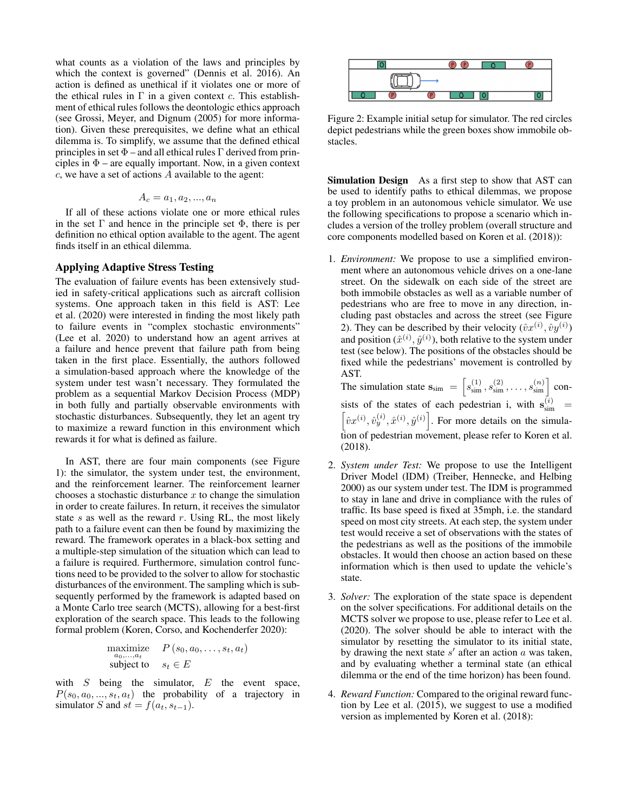what counts as a violation of the laws and principles by which the context is governed" (Dennis et al. 2016). An action is defined as unethical if it violates one or more of the ethical rules in  $\Gamma$  in a given context c. This establishment of ethical rules follows the deontologic ethics approach (see Grossi, Meyer, and Dignum (2005) for more information). Given these prerequisites, we define what an ethical dilemma is. To simplify, we assume that the defined ethical principles in set  $\Phi$  – and all ethical rules  $\Gamma$  derived from principles in  $\Phi$  – are equally important. Now, in a given context  $c$ , we have a set of actions  $A$  available to the agent:

$$
A_c = a_1, a_2, ..., a_n
$$

If all of these actions violate one or more ethical rules in the set  $\Gamma$  and hence in the principle set  $\Phi$ , there is per definition no ethical option available to the agent. The agent finds itself in an ethical dilemma.

#### Applying Adaptive Stress Testing

The evaluation of failure events has been extensively studied in safety-critical applications such as aircraft collision systems. One approach taken in this field is AST: Lee et al. (2020) were interested in finding the most likely path to failure events in "complex stochastic environments" (Lee et al. 2020) to understand how an agent arrives at a failure and hence prevent that failure path from being taken in the first place. Essentially, the authors followed a simulation-based approach where the knowledge of the system under test wasn't necessary. They formulated the problem as a sequential Markov Decision Process (MDP) in both fully and partially observable environments with stochastic disturbances. Subsequently, they let an agent try to maximize a reward function in this environment which rewards it for what is defined as failure.

In AST, there are four main components (see Figure 1): the simulator, the system under test, the environment, and the reinforcement learner. The reinforcement learner chooses a stochastic disturbance  $x$  to change the simulation in order to create failures. In return, it receives the simulator state s as well as the reward  $r$ . Using RL, the most likely path to a failure event can then be found by maximizing the reward. The framework operates in a black-box setting and a multiple-step simulation of the situation which can lead to a failure is required. Furthermore, simulation control functions need to be provided to the solver to allow for stochastic disturbances of the environment. The sampling which is subsequently performed by the framework is adapted based on a Monte Carlo tree search (MCTS), allowing for a best-first exploration of the search space. This leads to the following formal problem (Koren, Corso, and Kochenderfer 2020):

maximize 
$$
P(s_0, a_0, \ldots, s_t, a_t)
$$
  
subject to  $s_t \in E$ 

with  $S$  being the simulator,  $E$  the event space,  $P(s_0, a_0, ..., s_t, a_t)$  the probability of a trajectory in simulator S and  $st = f(a_t, s_{t-1})$ .



Figure 2: Example initial setup for simulator. The red circles depict pedestrians while the green boxes show immobile obstacles.

Simulation Design As a first step to show that AST can be used to identify paths to ethical dilemmas, we propose a toy problem in an autonomous vehicle simulator. We use the following specifications to propose a scenario which includes a version of the trolley problem (overall structure and core components modelled based on Koren et al. (2018)):

1. *Environment:* We propose to use a simplified environment where an autonomous vehicle drives on a one-lane street. On the sidewalk on each side of the street are both immobile obstacles as well as a variable number of pedestrians who are free to move in any direction, including past obstacles and across the street (see Figure 2). They can be described by their velocity  $(\hat{v}x^{(i)}, \hat{v}y^{(i)})$ and position  $(\hat{x}^{(i)}, \hat{y}^{(i)})$ , both relative to the system under test (see below). The positions of the obstacles should be fixed while the pedestrians' movement is controlled by AST.

The simulation state  $\mathbf{s}_{sim} = \left[ s_{sim}^{(1)}, s_{sim}^{(2)}, \dots, s_{sim}^{(n)} \right]$  consists of the states of each pedestrian i, with  $s_{sim}^{(i)} = \left[\hat{j}_{cr}(i), \hat{j}_{cr}(i), \hat{k}_{cr}(i)\right]$  For more details on the simula- $\hat{v}x^{(i)}, \hat{v}_y^{(i)}, \hat{x}^{(i)}, \hat{y}^{(i)}$ . For more details on the simulation of pedestrian movement, please refer to Koren et al. (2018).

- 2. *System under Test:* We propose to use the Intelligent Driver Model (IDM) (Treiber, Hennecke, and Helbing 2000) as our system under test. The IDM is programmed to stay in lane and drive in compliance with the rules of traffic. Its base speed is fixed at 35mph, i.e. the standard speed on most city streets. At each step, the system under test would receive a set of observations with the states of the pedestrians as well as the positions of the immobile obstacles. It would then choose an action based on these information which is then used to update the vehicle's state.
- 3. *Solver:* The exploration of the state space is dependent on the solver specifications. For additional details on the MCTS solver we propose to use, please refer to Lee et al. (2020). The solver should be able to interact with the simulator by resetting the simulator to its initial state, by drawing the next state  $s'$  after an action  $a$  was taken, and by evaluating whether a terminal state (an ethical dilemma or the end of the time horizon) has been found.
- 4. *Reward Function:* Compared to the original reward function by Lee et al. (2015), we suggest to use a modified version as implemented by Koren et al. (2018):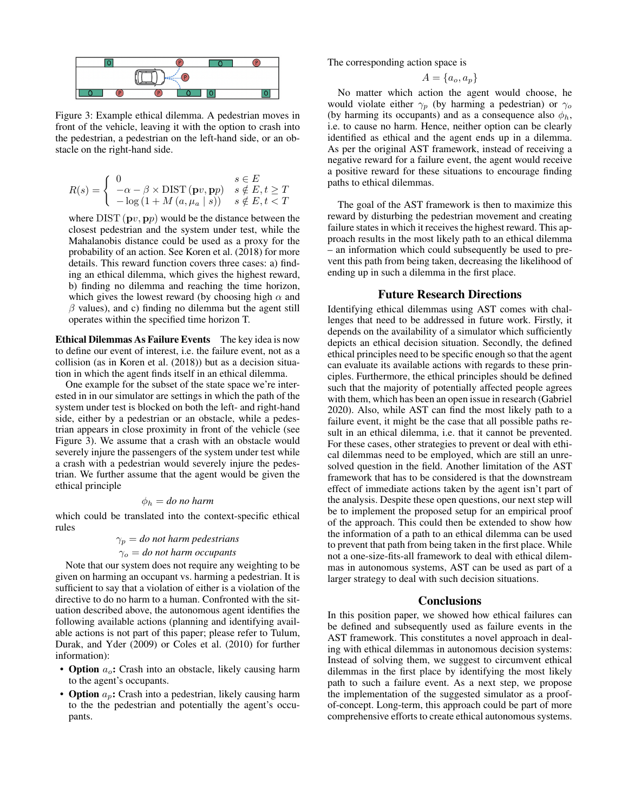

Figure 3: Example ethical dilemma. A pedestrian moves in front of the vehicle, leaving it with the option to crash into the pedestrian, a pedestrian on the left-hand side, or an obstacle on the right-hand side.

$$
R(s) = \begin{cases} 0 & s \in E \\ -\alpha - \beta \times \text{DIST}\left(\mathbf{p}v, \mathbf{p}p\right) & s \notin E, t \ge T \\ -\log\left(1 + M\left(a, \mu_a \mid s\right)\right) & s \notin E, t < T \end{cases}
$$

where  $DIST(pv, pp)$  would be the distance between the closest pedestrian and the system under test, while the Mahalanobis distance could be used as a proxy for the probability of an action. See Koren et al. (2018) for more details. This reward function covers three cases: a) finding an ethical dilemma, which gives the highest reward, b) finding no dilemma and reaching the time horizon, which gives the lowest reward (by choosing high  $\alpha$  and  $\beta$  values), and c) finding no dilemma but the agent still operates within the specified time horizon T.

Ethical Dilemmas As Failure Events The key idea is now to define our event of interest, i.e. the failure event, not as a collision (as in Koren et al. (2018)) but as a decision situation in which the agent finds itself in an ethical dilemma.

One example for the subset of the state space we're interested in in our simulator are settings in which the path of the system under test is blocked on both the left- and right-hand side, either by a pedestrian or an obstacle, while a pedestrian appears in close proximity in front of the vehicle (see Figure 3). We assume that a crash with an obstacle would severely injure the passengers of the system under test while a crash with a pedestrian would severely injure the pedestrian. We further assume that the agent would be given the ethical principle

$$
\phi_h = do \text{ no harm}
$$

which could be translated into the context-specific ethical rules

$$
\gamma_p = do
$$
 not harm pedestrians  
 $\gamma_o = do$  not harm occurs

Note that our system does not require any weighting to be given on harming an occupant vs. harming a pedestrian. It is sufficient to say that a violation of either is a violation of the directive to do no harm to a human. Confronted with the situation described above, the autonomous agent identifies the following available actions (planning and identifying available actions is not part of this paper; please refer to Tulum, Durak, and Yder (2009) or Coles et al. (2010) for further information):

- Option  $a_o$ : Crash into an obstacle, likely causing harm to the agent's occupants.
- Option  $a_p$ : Crash into a pedestrian, likely causing harm to the the pedestrian and potentially the agent's occupants.

The corresponding action space is

$$
A = \{a_o, a_p\}
$$

No matter which action the agent would choose, he would violate either  $\gamma_p$  (by harming a pedestrian) or  $\gamma_o$ (by harming its occupants) and as a consequence also  $\phi_h$ , i.e. to cause no harm. Hence, neither option can be clearly identified as ethical and the agent ends up in a dilemma. As per the original AST framework, instead of receiving a negative reward for a failure event, the agent would receive a positive reward for these situations to encourage finding paths to ethical dilemmas.

The goal of the AST framework is then to maximize this reward by disturbing the pedestrian movement and creating failure states in which it receives the highest reward. This approach results in the most likely path to an ethical dilemma – an information which could subsequently be used to prevent this path from being taken, decreasing the likelihood of ending up in such a dilemma in the first place.

### Future Research Directions

Identifying ethical dilemmas using AST comes with challenges that need to be addressed in future work. Firstly, it depends on the availability of a simulator which sufficiently depicts an ethical decision situation. Secondly, the defined ethical principles need to be specific enough so that the agent can evaluate its available actions with regards to these principles. Furthermore, the ethical principles should be defined such that the majority of potentially affected people agrees with them, which has been an open issue in research (Gabriel 2020). Also, while AST can find the most likely path to a failure event, it might be the case that all possible paths result in an ethical dilemma, i.e. that it cannot be prevented. For these cases, other strategies to prevent or deal with ethical dilemmas need to be employed, which are still an unresolved question in the field. Another limitation of the AST framework that has to be considered is that the downstream effect of immediate actions taken by the agent isn't part of the analysis. Despite these open questions, our next step will be to implement the proposed setup for an empirical proof of the approach. This could then be extended to show how the information of a path to an ethical dilemma can be used to prevent that path from being taken in the first place. While not a one-size-fits-all framework to deal with ethical dilemmas in autonomous systems, AST can be used as part of a larger strategy to deal with such decision situations.

#### **Conclusions**

In this position paper, we showed how ethical failures can be defined and subsequently used as failure events in the AST framework. This constitutes a novel approach in dealing with ethical dilemmas in autonomous decision systems: Instead of solving them, we suggest to circumvent ethical dilemmas in the first place by identifying the most likely path to such a failure event. As a next step, we propose the implementation of the suggested simulator as a proofof-concept. Long-term, this approach could be part of more comprehensive efforts to create ethical autonomous systems.